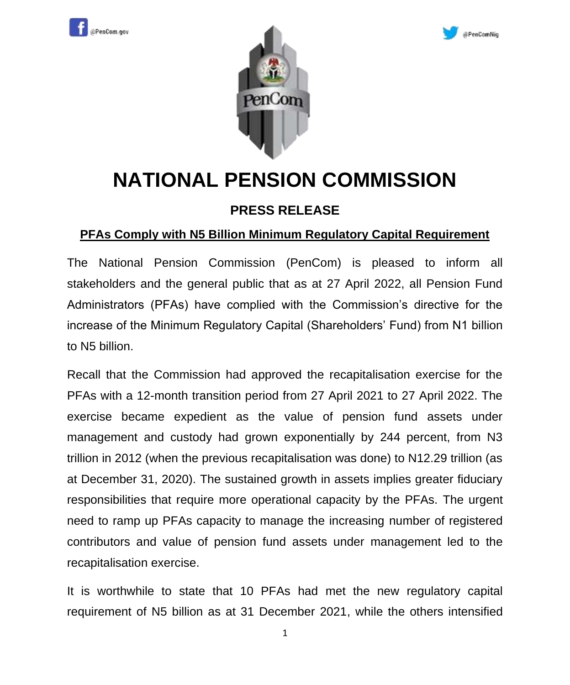





## **NATIONAL PENSION COMMISSION**

## **PRESS RELEASE**

## **PFAs Comply with N5 Billion Minimum Regulatory Capital Requirement**

The National Pension Commission (PenCom) is pleased to inform all stakeholders and the general public that as at 27 April 2022, all Pension Fund Administrators (PFAs) have complied with the Commission's directive for the increase of the Minimum Regulatory Capital (Shareholders' Fund) from N1 billion to N5 billion.

Recall that the Commission had approved the recapitalisation exercise for the PFAs with a 12-month transition period from 27 April 2021 to 27 April 2022. The exercise became expedient as the value of pension fund assets under management and custody had grown exponentially by 244 percent, from N3 trillion in 2012 (when the previous recapitalisation was done) to N12.29 trillion (as at December 31, 2020). The sustained growth in assets implies greater fiduciary responsibilities that require more operational capacity by the PFAs. The urgent need to ramp up PFAs capacity to manage the increasing number of registered contributors and value of pension fund assets under management led to the recapitalisation exercise.

It is worthwhile to state that 10 PFAs had met the new regulatory capital requirement of N5 billion as at 31 December 2021, while the others intensified